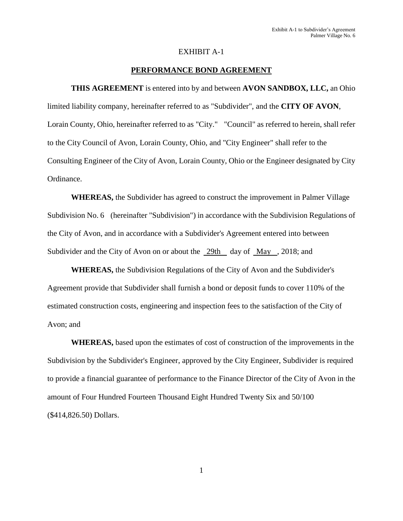### EXHIBIT A-1

### **PERFORMANCE BOND AGREEMENT**

**THIS AGREEMENT** is entered into by and between **AVON SANDBOX, LLC,** an Ohio limited liability company, hereinafter referred to as "Subdivider", and the **CITY OF AVON**, Lorain County, Ohio, hereinafter referred to as "City." "Council" as referred to herein, shall refer to the City Council of Avon, Lorain County, Ohio, and "City Engineer" shall refer to the Consulting Engineer of the City of Avon, Lorain County, Ohio or the Engineer designated by City Ordinance.

**WHEREAS,** the Subdivider has agreed to construct the improvement in Palmer Village Subdivision No. 6 (hereinafter "Subdivision") in accordance with the Subdivision Regulations of the City of Avon, and in accordance with a Subdivider's Agreement entered into between Subdivider and the City of Avon on or about the 29th day of May , 2018; and

**WHEREAS,** the Subdivision Regulations of the City of Avon and the Subdivider's Agreement provide that Subdivider shall furnish a bond or deposit funds to cover 110% of the estimated construction costs, engineering and inspection fees to the satisfaction of the City of Avon; and

**WHEREAS,** based upon the estimates of cost of construction of the improvements in the Subdivision by the Subdivider's Engineer, approved by the City Engineer, Subdivider is required to provide a financial guarantee of performance to the Finance Director of the City of Avon in the amount of Four Hundred Fourteen Thousand Eight Hundred Twenty Six and 50/100 (\$414,826.50) Dollars.

1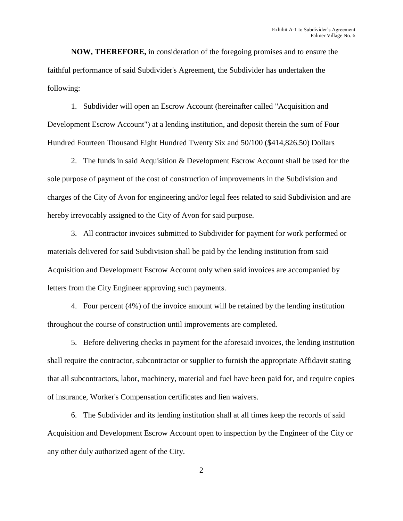**NOW, THEREFORE,** in consideration of the foregoing promises and to ensure the faithful performance of said Subdivider's Agreement, the Subdivider has undertaken the following:

1. Subdivider will open an Escrow Account (hereinafter called "Acquisition and Development Escrow Account") at a lending institution, and deposit therein the sum of Four Hundred Fourteen Thousand Eight Hundred Twenty Six and 50/100 (\$414,826.50) Dollars

2. The funds in said Acquisition & Development Escrow Account shall be used for the sole purpose of payment of the cost of construction of improvements in the Subdivision and charges of the City of Avon for engineering and/or legal fees related to said Subdivision and are hereby irrevocably assigned to the City of Avon for said purpose.

3. All contractor invoices submitted to Subdivider for payment for work performed or materials delivered for said Subdivision shall be paid by the lending institution from said Acquisition and Development Escrow Account only when said invoices are accompanied by letters from the City Engineer approving such payments.

4. Four percent (4%) of the invoice amount will be retained by the lending institution throughout the course of construction until improvements are completed.

5. Before delivering checks in payment for the aforesaid invoices, the lending institution shall require the contractor, subcontractor or supplier to furnish the appropriate Affidavit stating that all subcontractors, labor, machinery, material and fuel have been paid for, and require copies of insurance, Worker's Compensation certificates and lien waivers.

6. The Subdivider and its lending institution shall at all times keep the records of said Acquisition and Development Escrow Account open to inspection by the Engineer of the City or any other duly authorized agent of the City.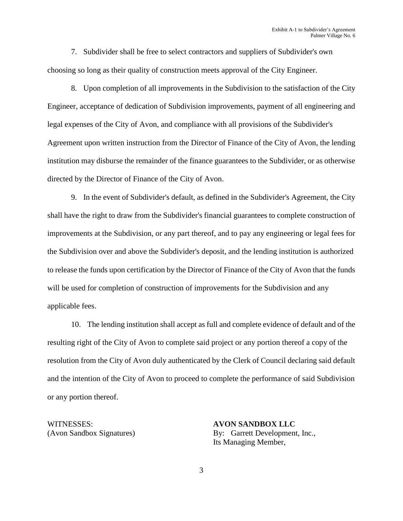7. Subdivider shall be free to select contractors and suppliers of Subdivider's own choosing so long as their quality of construction meets approval of the City Engineer.

8. Upon completion of all improvements in the Subdivision to the satisfaction of the City Engineer, acceptance of dedication of Subdivision improvements, payment of all engineering and legal expenses of the City of Avon, and compliance with all provisions of the Subdivider's Agreement upon written instruction from the Director of Finance of the City of Avon, the lending institution may disburse the remainder of the finance guarantees to the Subdivider, or as otherwise directed by the Director of Finance of the City of Avon.

9. In the event of Subdivider's default, as defined in the Subdivider's Agreement, the City shall have the right to draw from the Subdivider's financial guarantees to complete construction of improvements at the Subdivision, or any part thereof, and to pay any engineering or legal fees for the Subdivision over and above the Subdivider's deposit, and the lending institution is authorized to release the funds upon certification by the Director of Finance of the City of Avon that the funds will be used for completion of construction of improvements for the Subdivision and any applicable fees.

10. The lending institution shall accept as full and complete evidence of default and of the resulting right of the City of Avon to complete said project or any portion thereof a copy of the resolution from the City of Avon duly authenticated by the Clerk of Council declaring said default and the intention of the City of Avon to proceed to complete the performance of said Subdivision or any portion thereof.

WITNESSES: **AVON SANDBOX LLC**

(Avon Sandbox Signatures) By: Garrett Development, Inc., Its Managing Member,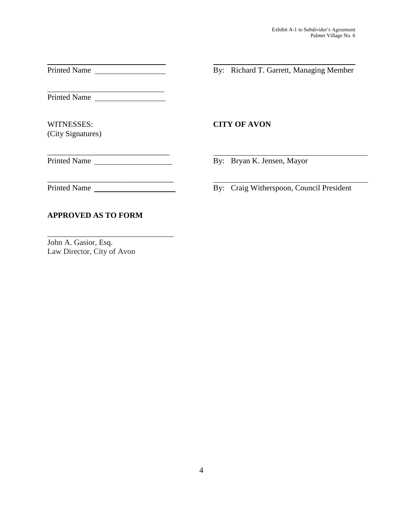Printed Name

 $\overline{a}$ Printed Name

WITNESSES: **CITY OF AVON** (City Signatures)

Printed Name By: Bryan K. Jensen, Mayor

\_\_\_\_\_\_\_\_\_\_\_\_\_\_\_\_\_\_\_\_\_\_\_\_\_\_\_\_\_\_\_

Printed Name

By: Craig Witherspoon, Council President

By: Richard T. Garrett, Managing Member

# John A. Gasior, Esq. Law Director, City of Avon

**APPROVED AS TO FORM**

\_\_\_\_\_\_\_\_\_\_\_\_\_\_\_\_\_\_\_\_\_\_\_\_\_\_\_\_\_\_\_\_